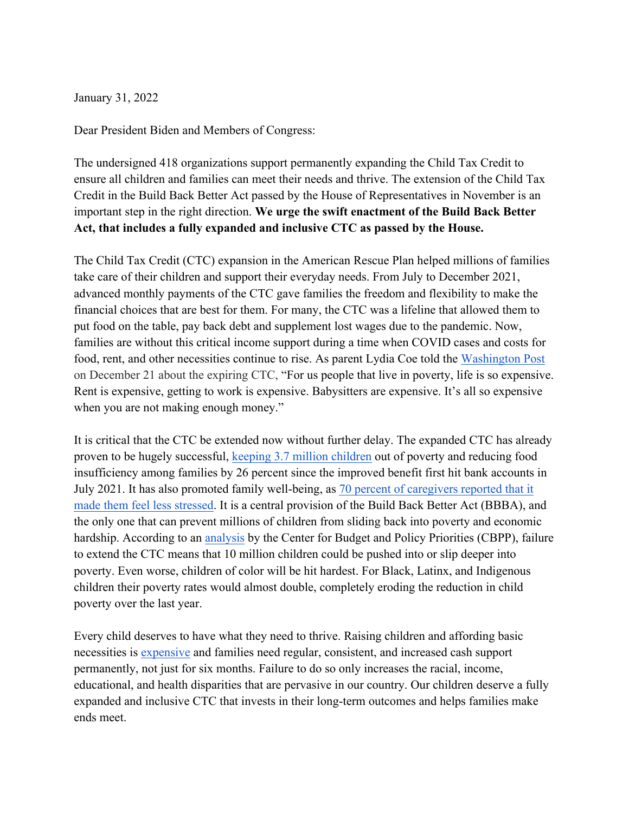January 31, 2022

Dear President Biden and Members of Congress:

The undersigned 418 organizations support permanently expanding the Child Tax Credit to ensure all children and families can meet their needs and thrive. The extension of the Child Tax Credit in the Build Back Better Act passed by the House of Representatives in November is an important step in the right direction. **We urge the swift enactment of the Build Back Better Act, that includes a fully expanded and inclusive CTC as passed by the House.** 

The Child Tax Credit (CTC) expansion in the American Rescue Plan helped millions of families take care of their children and support their everyday needs. From July to December 2021, advanced monthly payments of the CTC gave families the freedom and flexibility to make the financial choices that are best for them. For many, the CTC was a lifeline that allowed them to put food on the table, pay back debt and supplement lost wages due to the pandemic. Now, families are without this critical income support during a time when COVID cases and costs for food, rent, and other necessities continue to rise. As parent Lydia Coe told the Washington Post on December 21 about the expiring CTC, "For us people that live in poverty, life is so expensive. Rent is expensive, getting to work is expensive. Babysitters are expensive. It's all so expensive when you are not making enough money."

It is critical that the CTC be extended now without further delay. The expanded CTC has already proven to be hugely successful, keeping 3.7 million children out of poverty and reducing food insufficiency among families by 26 percent since the improved benefit first hit bank accounts in July 2021. It has also promoted family well-being, as 70 percent of caregivers reported that it made them feel less stressed. It is a central provision of the Build Back Better Act (BBBA), and the only one that can prevent millions of children from sliding back into poverty and economic hardship. According to an analysis by the Center for Budget and Policy Priorities (CBPP), failure to extend the CTC means that 10 million children could be pushed into or slip deeper into poverty. Even worse, children of color will be hit hardest. For Black, Latinx, and Indigenous children their poverty rates would almost double, completely eroding the reduction in child poverty over the last year.

Every child deserves to have what they need to thrive. Raising children and affording basic necessities is expensive and families need regular, consistent, and increased cash support permanently, not just for six months. Failure to do so only increases the racial, income, educational, and health disparities that are pervasive in our country. Our children deserve a fully expanded and inclusive CTC that invests in their long-term outcomes and helps families make ends meet.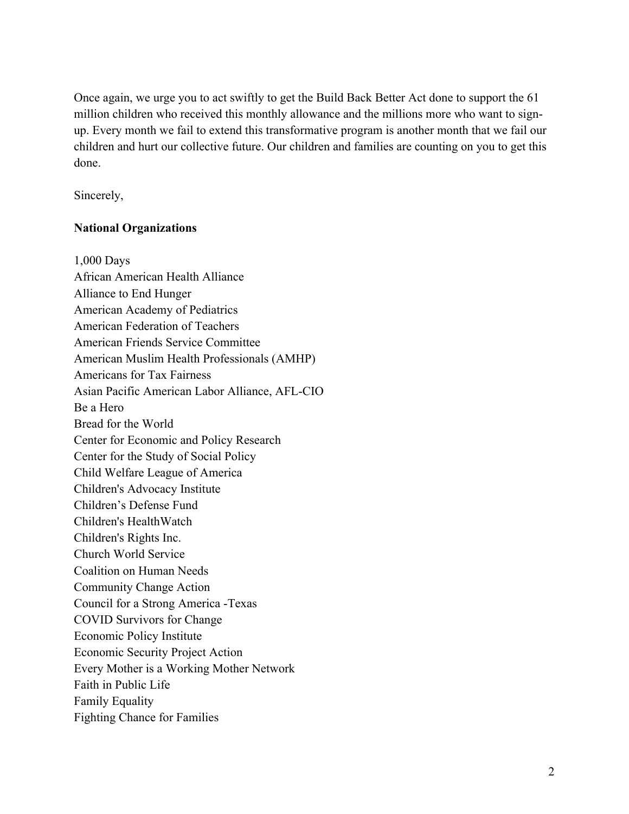Once again, we urge you to act swiftly to get the Build Back Better Act done to support the 61 million children who received this monthly allowance and the millions more who want to signup. Every month we fail to extend this transformative program is another month that we fail our children and hurt our collective future. Our children and families are counting on you to get this done.

Sincerely,

# **National Organizations**

1,000 Days African American Health Alliance Alliance to End Hunger American Academy of Pediatrics American Federation of Teachers American Friends Service Committee American Muslim Health Professionals (AMHP) Americans for Tax Fairness Asian Pacific American Labor Alliance, AFL-CIO Be a Hero Bread for the World Center for Economic and Policy Research Center for the Study of Social Policy Child Welfare League of America Children's Advocacy Institute Children's Defense Fund Children's HealthWatch Children's Rights Inc. Church World Service Coalition on Human Needs Community Change Action Council for a Strong America -Texas COVID Survivors for Change Economic Policy Institute Economic Security Project Action Every Mother is a Working Mother Network Faith in Public Life Family Equality Fighting Chance for Families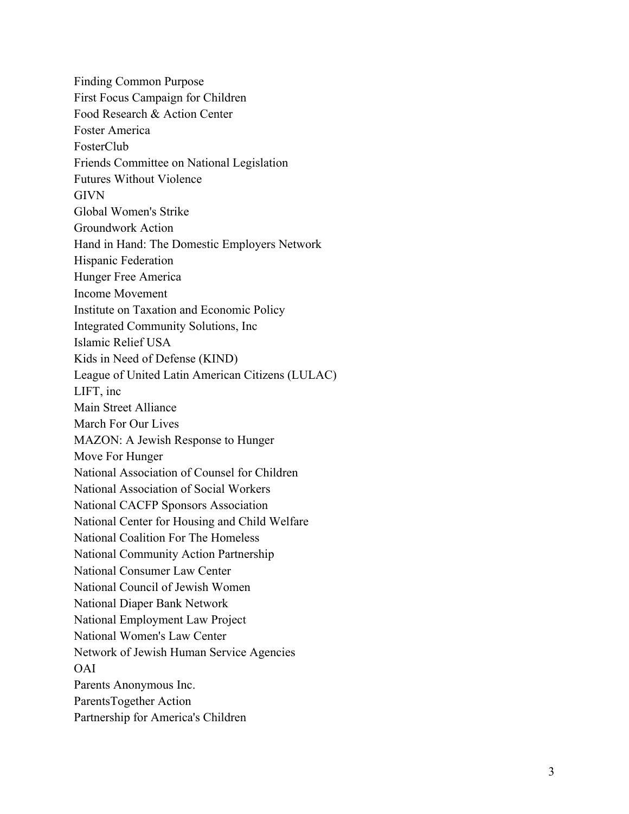Finding Common Purpose First Focus Campaign for Children Food Research & Action Center Foster America FosterClub Friends Committee on National Legislation Futures Without Violence **GIVN** Global Women's Strike Groundwork Action Hand in Hand: The Domestic Employers Network Hispanic Federation Hunger Free America Income Movement Institute on Taxation and Economic Policy Integrated Community Solutions, Inc Islamic Relief USA Kids in Need of Defense (KIND) League of United Latin American Citizens (LULAC) LIFT, inc Main Street Alliance March For Our Lives MAZON: A Jewish Response to Hunger Move For Hunger National Association of Counsel for Children National Association of Social Workers National CACFP Sponsors Association National Center for Housing and Child Welfare National Coalition For The Homeless National Community Action Partnership National Consumer Law Center National Council of Jewish Women National Diaper Bank Network National Employment Law Project National Women's Law Center Network of Jewish Human Service Agencies OAI Parents Anonymous Inc. ParentsTogether Action Partnership for America's Children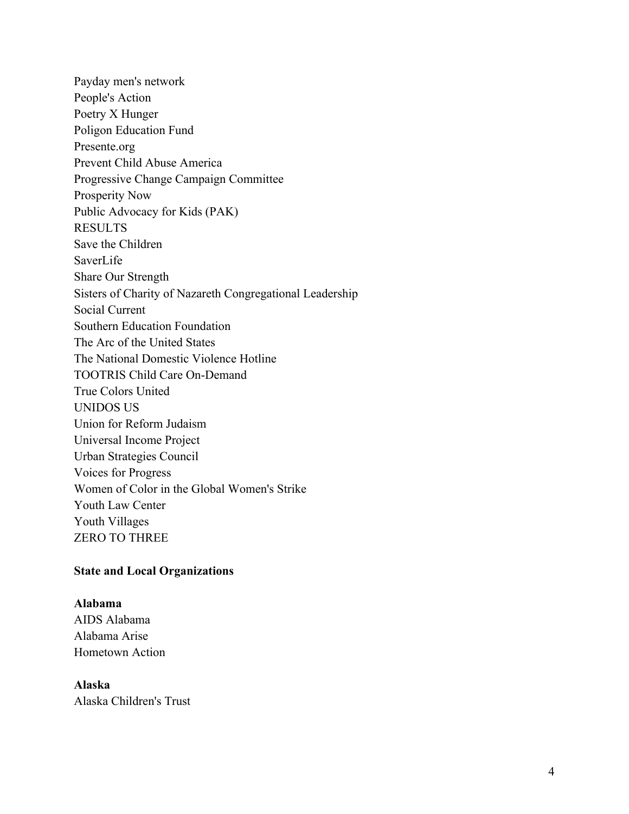Payday men's network People's Action Poetry X Hunger Poligon Education Fund Presente.org Prevent Child Abuse America Progressive Change Campaign Committee Prosperity Now Public Advocacy for Kids (PAK) RESULTS Save the Children SaverLife Share Our Strength Sisters of Charity of Nazareth Congregational Leadership Social Current Southern Education Foundation The Arc of the United States The National Domestic Violence Hotline TOOTRIS Child Care On-Demand True Colors United UNIDOS US Union for Reform Judaism Universal Income Project Urban Strategies Council Voices for Progress Women of Color in the Global Women's Strike Youth Law Center Youth Villages ZERO TO THREE

### **State and Local Organizations**

#### **Alabama**

AIDS Alabama Alabama Arise Hometown Action

### **Alaska**

Alaska Children's Trust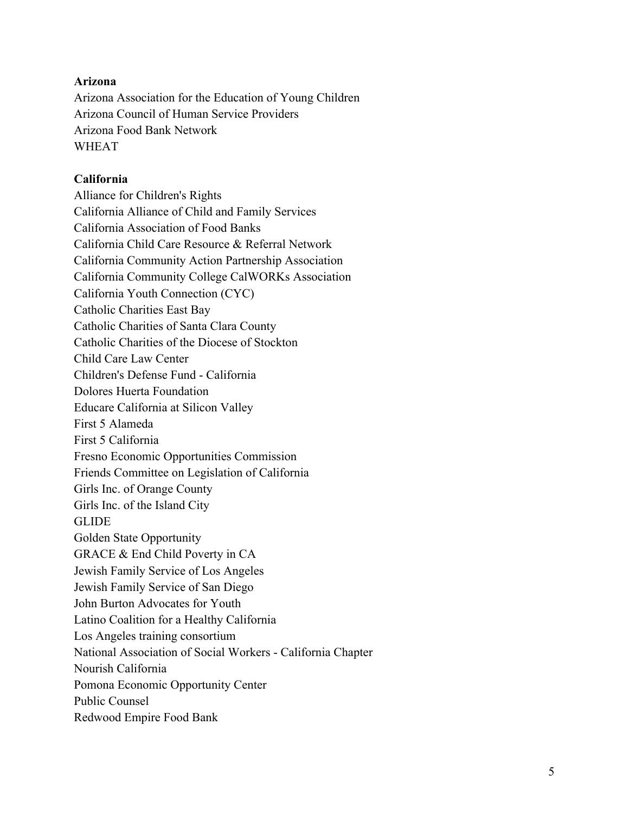# **Arizona**

Arizona Association for the Education of Young Children Arizona Council of Human Service Providers Arizona Food Bank Network WHEAT

### **California**

Alliance for Children's Rights California Alliance of Child and Family Services California Association of Food Banks California Child Care Resource & Referral Network California Community Action Partnership Association California Community College CalWORKs Association California Youth Connection (CYC) Catholic Charities East Bay Catholic Charities of Santa Clara County Catholic Charities of the Diocese of Stockton Child Care Law Center Children's Defense Fund - California Dolores Huerta Foundation Educare California at Silicon Valley First 5 Alameda First 5 California Fresno Economic Opportunities Commission Friends Committee on Legislation of California Girls Inc. of Orange County Girls Inc. of the Island City GLIDE Golden State Opportunity GRACE & End Child Poverty in CA Jewish Family Service of Los Angeles Jewish Family Service of San Diego John Burton Advocates for Youth Latino Coalition for a Healthy California Los Angeles training consortium National Association of Social Workers - California Chapter Nourish California Pomona Economic Opportunity Center Public Counsel Redwood Empire Food Bank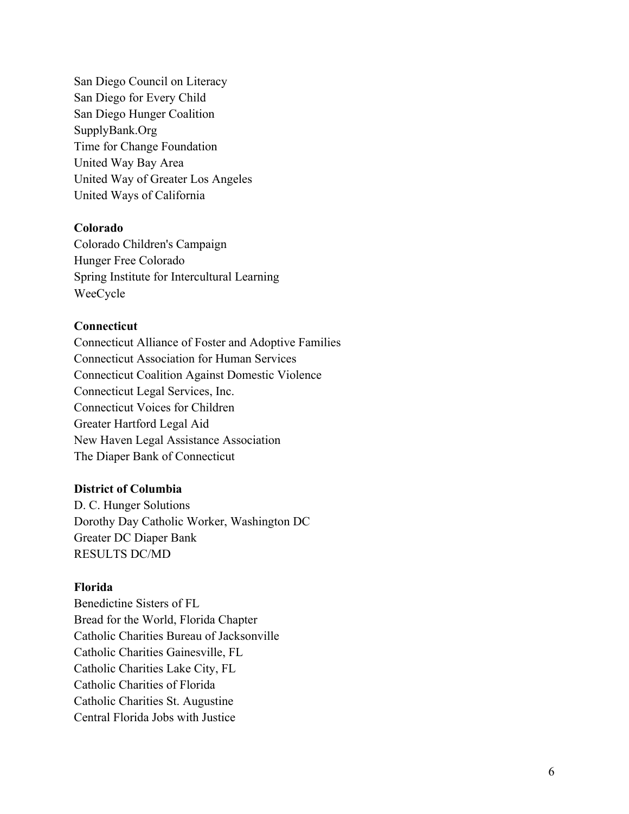San Diego Council on Literacy San Diego for Every Child San Diego Hunger Coalition SupplyBank.Org Time for Change Foundation United Way Bay Area United Way of Greater Los Angeles United Ways of California

### **Colorado**

Colorado Children's Campaign Hunger Free Colorado Spring Institute for Intercultural Learning WeeCycle

#### **Connecticut**

Connecticut Alliance of Foster and Adoptive Families Connecticut Association for Human Services Connecticut Coalition Against Domestic Violence Connecticut Legal Services, Inc. Connecticut Voices for Children Greater Hartford Legal Aid New Haven Legal Assistance Association The Diaper Bank of Connecticut

#### **District of Columbia**

D. C. Hunger Solutions Dorothy Day Catholic Worker, Washington DC Greater DC Diaper Bank RESULTS DC/MD

#### **Florida**

Benedictine Sisters of FL Bread for the World, Florida Chapter Catholic Charities Bureau of Jacksonville Catholic Charities Gainesville, FL Catholic Charities Lake City, FL Catholic Charities of Florida Catholic Charities St. Augustine Central Florida Jobs with Justice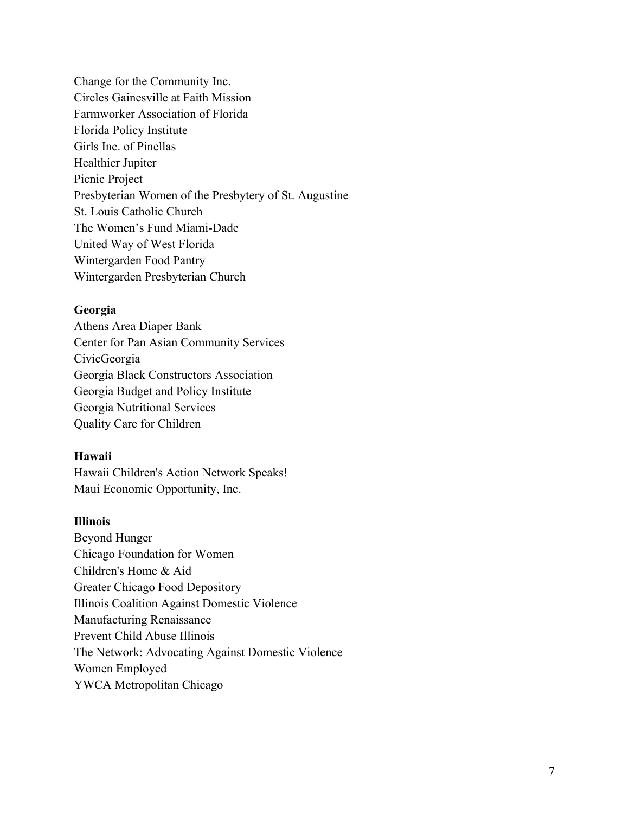Change for the Community Inc. Circles Gainesville at Faith Mission Farmworker Association of Florida Florida Policy Institute Girls Inc. of Pinellas Healthier Jupiter Picnic Project Presbyterian Women of the Presbytery of St. Augustine St. Louis Catholic Church The Women's Fund Miami-Dade United Way of West Florida Wintergarden Food Pantry Wintergarden Presbyterian Church

### **Georgia**

Athens Area Diaper Bank Center for Pan Asian Community Services CivicGeorgia Georgia Black Constructors Association Georgia Budget and Policy Institute Georgia Nutritional Services Quality Care for Children

### **Hawaii**

Hawaii Children's Action Network Speaks! Maui Economic Opportunity, Inc.

# **Illinois**

Beyond Hunger Chicago Foundation for Women Children's Home & Aid Greater Chicago Food Depository Illinois Coalition Against Domestic Violence Manufacturing Renaissance Prevent Child Abuse Illinois The Network: Advocating Against Domestic Violence Women Employed YWCA Metropolitan Chicago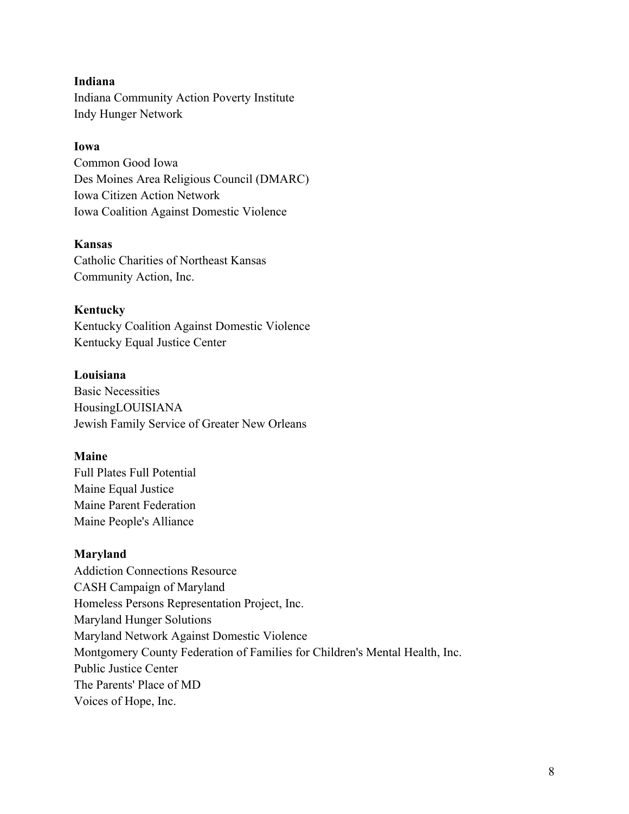### **Indiana**

Indiana Community Action Poverty Institute Indy Hunger Network

## **Iowa**

Common Good Iowa Des Moines Area Religious Council (DMARC) Iowa Citizen Action Network Iowa Coalition Against Domestic Violence

### **Kansas**

Catholic Charities of Northeast Kansas Community Action, Inc.

#### **Kentucky**

Kentucky Coalition Against Domestic Violence Kentucky Equal Justice Center

# **Louisiana**

Basic Necessities HousingLOUISIANA Jewish Family Service of Greater New Orleans

### **Maine**

Full Plates Full Potential Maine Equal Justice Maine Parent Federation Maine People's Alliance

## **Maryland**

Addiction Connections Resource CASH Campaign of Maryland Homeless Persons Representation Project, Inc. Maryland Hunger Solutions Maryland Network Against Domestic Violence Montgomery County Federation of Families for Children's Mental Health, Inc. Public Justice Center The Parents' Place of MD Voices of Hope, Inc.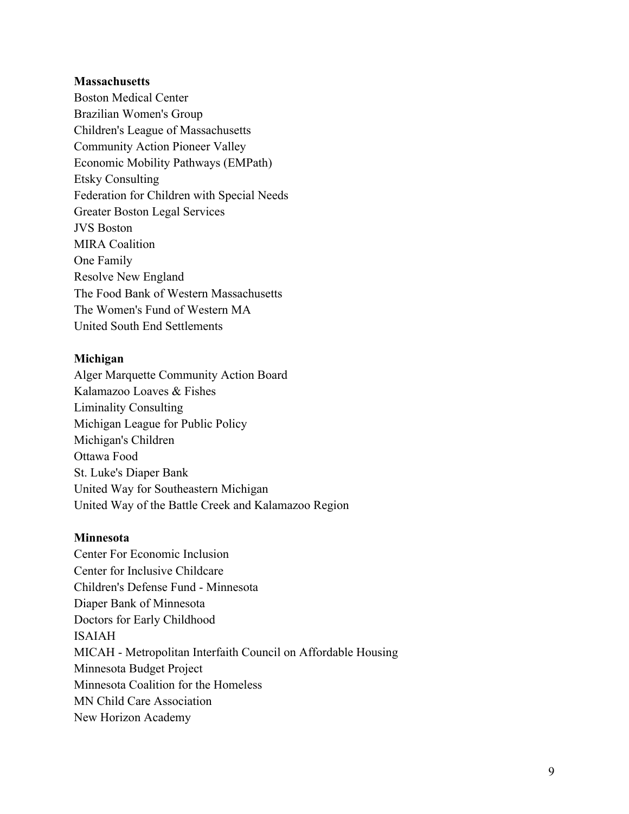#### **Massachusetts**

Boston Medical Center Brazilian Women's Group Children's League of Massachusetts Community Action Pioneer Valley Economic Mobility Pathways (EMPath) Etsky Consulting Federation for Children with Special Needs Greater Boston Legal Services JVS Boston MIRA Coalition One Family Resolve New England The Food Bank of Western Massachusetts The Women's Fund of Western MA United South End Settlements

#### **Michigan**

Alger Marquette Community Action Board Kalamazoo Loaves & Fishes Liminality Consulting Michigan League for Public Policy Michigan's Children Ottawa Food St. Luke's Diaper Bank United Way for Southeastern Michigan United Way of the Battle Creek and Kalamazoo Region

### **Minnesota**

Center For Economic Inclusion Center for Inclusive Childcare Children's Defense Fund - Minnesota Diaper Bank of Minnesota Doctors for Early Childhood ISAIAH MICAH - Metropolitan Interfaith Council on Affordable Housing Minnesota Budget Project Minnesota Coalition for the Homeless MN Child Care Association New Horizon Academy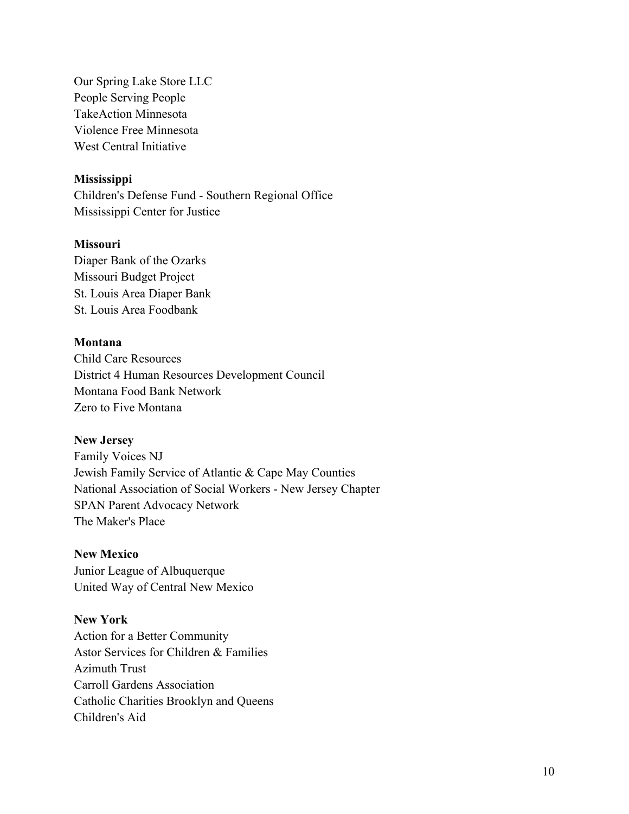Our Spring Lake Store LLC People Serving People TakeAction Minnesota Violence Free Minnesota West Central Initiative

# **Mississippi**

Children's Defense Fund - Southern Regional Office Mississippi Center for Justice

# **Missouri**

Diaper Bank of the Ozarks Missouri Budget Project St. Louis Area Diaper Bank St. Louis Area Foodbank

# **Montana**

Child Care Resources District 4 Human Resources Development Council Montana Food Bank Network Zero to Five Montana

### **New Jersey**

Family Voices NJ Jewish Family Service of Atlantic & Cape May Counties National Association of Social Workers - New Jersey Chapter SPAN Parent Advocacy Network The Maker's Place

# **New Mexico**

Junior League of Albuquerque United Way of Central New Mexico

# **New York**

Action for a Better Community Astor Services for Children & Families Azimuth Trust Carroll Gardens Association Catholic Charities Brooklyn and Queens Children's Aid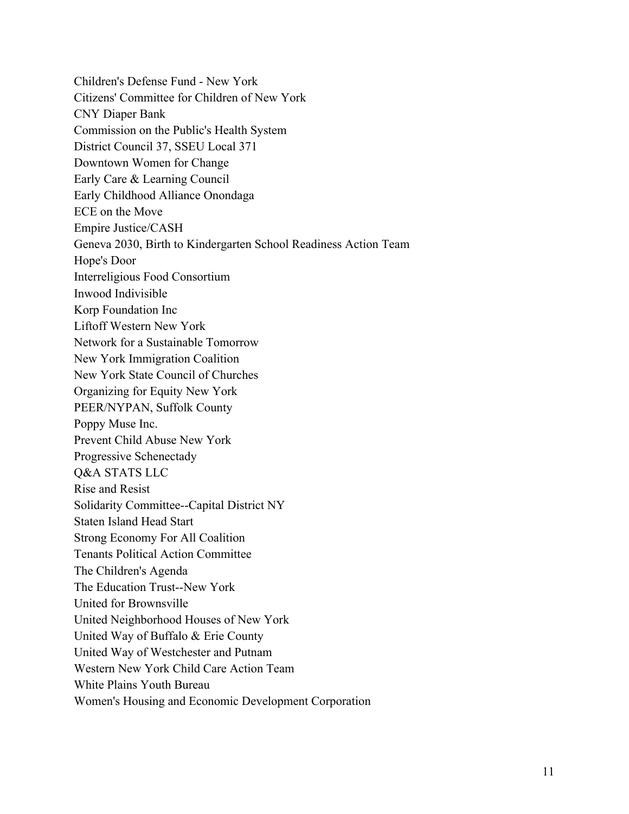Children's Defense Fund - New York Citizens' Committee for Children of New York CNY Diaper Bank Commission on the Public's Health System District Council 37, SSEU Local 371 Downtown Women for Change Early Care & Learning Council Early Childhood Alliance Onondaga ECE on the Move Empire Justice/CASH Geneva 2030, Birth to Kindergarten School Readiness Action Team Hope's Door Interreligious Food Consortium Inwood Indivisible Korp Foundation Inc Liftoff Western New York Network for a Sustainable Tomorrow New York Immigration Coalition New York State Council of Churches Organizing for Equity New York PEER/NYPAN, Suffolk County Poppy Muse Inc. Prevent Child Abuse New York Progressive Schenectady Q&A STATS LLC Rise and Resist Solidarity Committee--Capital District NY Staten Island Head Start Strong Economy For All Coalition Tenants Political Action Committee The Children's Agenda The Education Trust--New York United for Brownsville United Neighborhood Houses of New York United Way of Buffalo & Erie County United Way of Westchester and Putnam Western New York Child Care Action Team White Plains Youth Bureau Women's Housing and Economic Development Corporation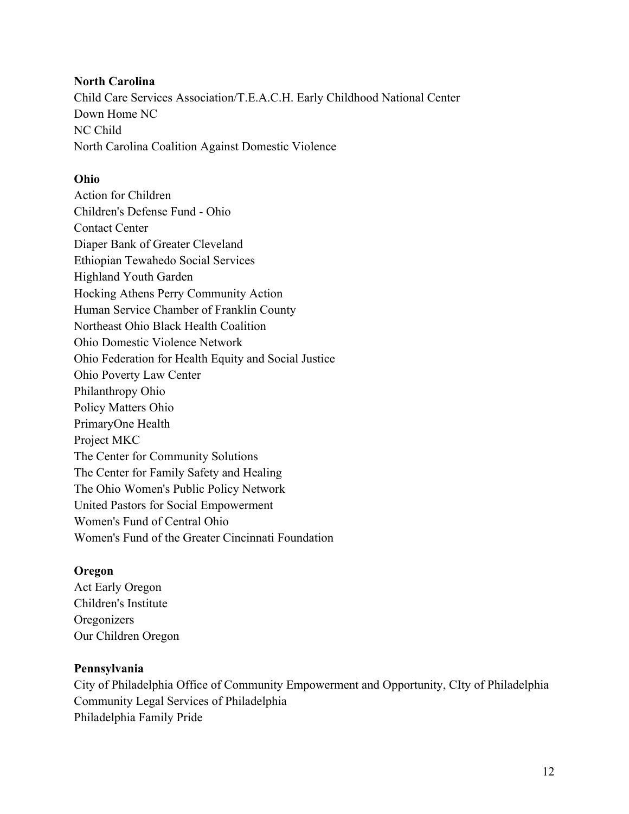## **North Carolina**

Child Care Services Association/T.E.A.C.H. Early Childhood National Center Down Home NC NC Child North Carolina Coalition Against Domestic Violence

## **Ohio**

Action for Children Children's Defense Fund - Ohio Contact Center Diaper Bank of Greater Cleveland Ethiopian Tewahedo Social Services Highland Youth Garden Hocking Athens Perry Community Action Human Service Chamber of Franklin County Northeast Ohio Black Health Coalition Ohio Domestic Violence Network Ohio Federation for Health Equity and Social Justice Ohio Poverty Law Center Philanthropy Ohio Policy Matters Ohio PrimaryOne Health Project MKC The Center for Community Solutions The Center for Family Safety and Healing The Ohio Women's Public Policy Network United Pastors for Social Empowerment Women's Fund of Central Ohio Women's Fund of the Greater Cincinnati Foundation

### **Oregon**

Act Early Oregon Children's Institute **Oregonizers** Our Children Oregon

### **Pennsylvania**

City of Philadelphia Office of Community Empowerment and Opportunity, CIty of Philadelphia Community Legal Services of Philadelphia Philadelphia Family Pride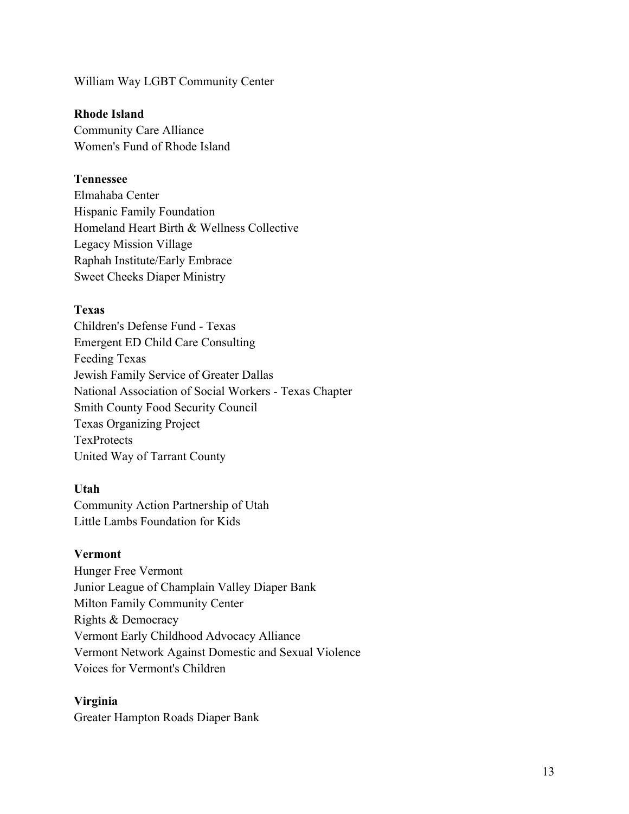William Way LGBT Community Center

### **Rhode Island**

Community Care Alliance Women's Fund of Rhode Island

# **Tennessee**

Elmahaba Center Hispanic Family Foundation Homeland Heart Birth & Wellness Collective Legacy Mission Village Raphah Institute/Early Embrace Sweet Cheeks Diaper Ministry

## **Texas**

Children's Defense Fund - Texas Emergent ED Child Care Consulting Feeding Texas Jewish Family Service of Greater Dallas National Association of Social Workers - Texas Chapter Smith County Food Security Council Texas Organizing Project **TexProtects** United Way of Tarrant County

# **Utah**

Community Action Partnership of Utah Little Lambs Foundation for Kids

### **Vermont**

Hunger Free Vermont Junior League of Champlain Valley Diaper Bank Milton Family Community Center Rights & Democracy Vermont Early Childhood Advocacy Alliance Vermont Network Against Domestic and Sexual Violence Voices for Vermont's Children

### **Virginia**

Greater Hampton Roads Diaper Bank